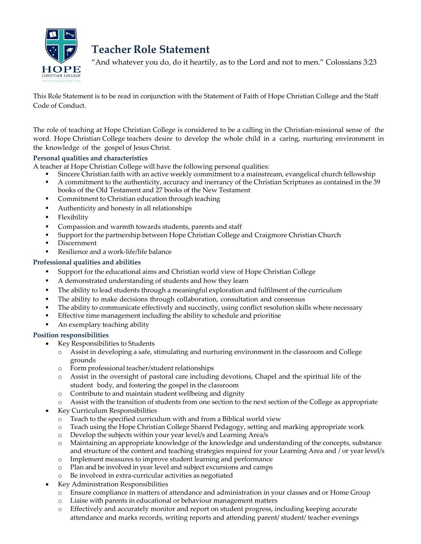

# **Teacher Role Statement**

"And whatever you do, do it heartily, as to the Lord and not to men." Colossians 3:23

This Role Statement is to be read in conjunction with the Statement of Faith of Hope Christian College and the Staff Code of Conduct.

The role of teaching at Hope Christian College is considered to be a calling in the Christian-missional sense of the word. Hope Christian College teachers desire to develop the whole child in a caring, nurturing environment in the knowledge of the gospel of Jesus Christ.

## **Personal qualities and characteristics**

A teacher at Hope Christian College will have the following personal qualities:

- Sincere Christian faith with an active weekly commitment to a mainstream, evangelical church fellowship<br>A commitment to the authenticity, accuracy and inerrancy of the Christian Scriptures as contained in the 3
- A commitment to the authenticity, accuracy and inerrancy of the Christian Scriptures as contained in the 39 books of the Old Testament and 27 books of the New Testament
- Commitment to Christian education through teaching
- Authenticity and honesty in all relationships
- **Flexibility**
- Compassion and warmth towards students, parents and staff
- Support for the partnership between Hope Christian College and Craigmore Christian Church
- Discernment
- Resilience and a work-life/life balance

## **Professional qualities and abilities**

- Support for the educational aims and Christian world view of Hope Christian College
- A demonstrated understanding of students and how they learn
- The ability to lead students through a meaningful exploration and fulfilment of the curriculum
- The ability to make decisions through collaboration, consultation and consensus
- The ability to communicate effectively and succinctly, using conflict resolution skills where necessary
- Effective time management including the ability to schedule and prioritise
- An exemplary teaching ability

#### **Position responsibilities**

- Key Responsibilities to Students
	- o Assist in developing a safe, stimulating and nurturing environment in the classroom and College grounds
	- o Form professional teacher/student relationships
	- Assist in the oversight of pastoral care including devotions, Chapel and the spiritual life of the student body, and fostering the gospel in the classroom
	- o Contribute to and maintain student wellbeing and dignity
	- Assist with the transition of students from one section to the next section of the College as appropriate
- Key Curriculum Responsibilities
	- o Teach to the specified curriculum with and from a Biblical world view
	- o Teach using the Hope Christian College Shared Pedagogy, setting and marking appropriate work
	- o Develop the subjects within your year level/s and Learning Area/s
	- o Maintaining an appropriate knowledge of the knowledge and understanding of the concepts, substance and structure of the content and teaching strategies required for your Learning Area and / or year level/s
	- o Implement measures to improve student learning and performance
	- o Plan and be involved in year level and subject excursions and camps
	- o Be involved in extra-curricular activities as negotiated
- Key Administration Responsibilities
	- o Ensure compliance in matters of attendance and administration in your classes and or Home Group
	- o Liaise with parents in educational or behaviour management matters
	- o Effectively and accurately monitor and report on student progress, including keeping accurate attendance and marks records, writing reports and attending parent/ student/ teacher evenings